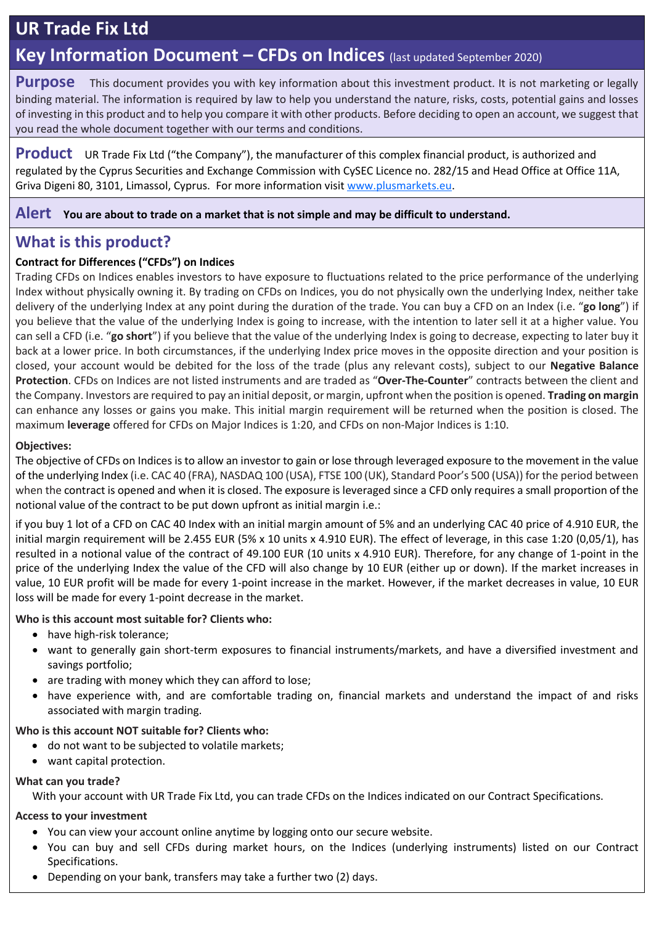# **UR Trade Fix Ltd**

## **Key Information Document – CFDs on Indices** (last updated September 2020)

**Purpose** This document provides you with key information about this investment product. It is not marketing or legally binding material. The information is required by law to help you understand the nature, risks, costs, potential gains and losses of investing in this product and to help you compare it with other products. Before deciding to open an account, we suggest that you read the whole document together with our terms and conditions.

**Product** UR Trade Fix Ltd ("the Company"), the manufacturer of this complex financial product, is authorized and regulated by the Cyprus Securities and Exchange Commission with CySEC Licence no. 282/15 and Head Office at Office 11A, Griva Digeni 80, 3101, Limassol, Cyprus. For more information visit [www.plusmarkets.eu.](http://www.plusmarkets.eu/)

#### **Alert You are about to trade on a market that is not simple and may be difficult to understand.**

## **What is this product?**

### **Contract for Differences ("CFDs") on Indices**

Trading CFDs on Indices enables investors to have exposure to fluctuations related to the price performance of the underlying Index without physically owning it. By trading on CFDs on Indices, you do not physically own the underlying Index, neither take delivery of the underlying Index at any point during the duration of the trade. You can buy a CFD on an Index (i.e. "**go long**") if you believe that the value of the underlying Index is going to increase, with the intention to later sell it at a higher value. You can sell a CFD (i.e. "**go short**") if you believe that the value of the underlying Index is going to decrease, expecting to later buy it back at a lower price. In both circumstances, if the underlying Index price moves in the opposite direction and your position is closed, your account would be debited for the loss of the trade (plus any relevant costs), subject to our **Negative Balance Protection**. CFDs on Indices are not listed instruments and are traded as "**Over-The-Counter**" contracts between the client and the Company. Investors are required to pay an initial deposit, or margin, upfront when the position is opened. **Trading on margin** can enhance any losses or gains you make. This initial margin requirement will be returned when the position is closed. The maximum **leverage** offered for CFDs on Major Indices is 1:20, and CFDs on non-Major Indices is 1:10.

#### **Objectives:**

The objective of CFDs on Indices is to allow an investor to gain or lose through leveraged exposure to the movement in the value of the underlying Index (i.e. CAC 40 (FRA), NASDAQ 100 (USA), FTSE 100 (UK), Standard Poor's 500 (USA)) for the period between when the contract is opened and when it is closed. The exposure is leveraged since a CFD only requires a small proportion of the notional value of the contract to be put down upfront as initial margin i.e.:

if you buy 1 lot of a CFD on CAC 40 Index with an initial margin amount of 5% and an underlying CAC 40 price of 4.910 EUR, the initial margin requirement will be 2.455 EUR (5% x 10 units x 4.910 EUR). The effect of leverage, in this case 1:20 (0,05/1), has resulted in a notional value of the contract of 49.100 EUR (10 units x 4.910 EUR). Therefore, for any change of 1-point in the price of the underlying Index the value of the CFD will also change by 10 EUR (either up or down). If the market increases in value, 10 EUR profit will be made for every 1-point increase in the market. However, if the market decreases in value, 10 EUR loss will be made for every 1-point decrease in the market.

#### **Who is this account most suitable for? Clients who:**

- have high-risk tolerance;
- want to generally gain short-term exposures to financial instruments/markets, and have a diversified investment and savings portfolio;
- are trading with money which they can afford to lose;
- have experience with, and are comfortable trading on, financial markets and understand the impact of and risks associated with margin trading.

#### **Who is this account NOT suitable for? Clients who:**

- do not want to be subjected to volatile markets;
- want capital protection.

#### **What can you trade?**

With your account with UR Trade Fix Ltd, you can trade CFDs on the Indices indicated on our Contract Specifications.

#### **Access to your investment**

- You can view your account online anytime by logging onto our secure website.
- You can buy and sell CFDs during market hours, on the Indices (underlying instruments) listed on our Contract Specifications.
- Depending on your bank, transfers may take a further two (2) days.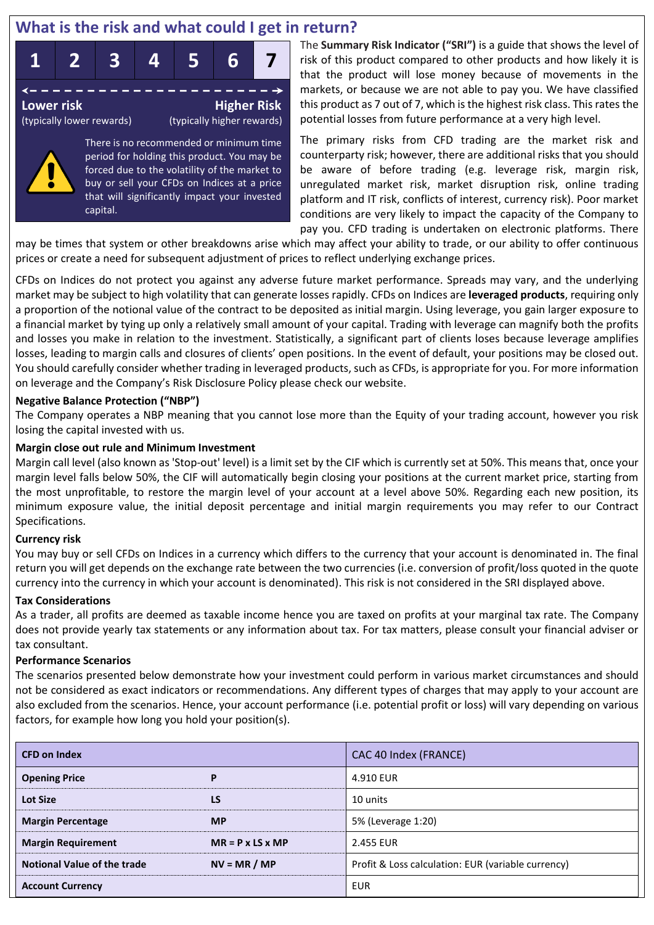## **What is the risk and what could I get in return?**



There is no recommended or minimum time period for holding this product. You may be forced due to the volatility of the market to buy or sell your CFDs on Indices at a price that will significantly impact your invested capital.

The **Summary Risk Indicator ("SRI")** is a guide that shows the level of risk of this product compared to other products and how likely it is that the product will lose money because of movements in the markets, or because we are not able to pay you. We have classified this product as 7 out of 7, which is the highest risk class. This rates the potential losses from future performance at a very high level.

The primary risks from CFD trading are the market risk and counterparty risk; however, there are additional risks that you should be aware of before trading (e.g. leverage risk, margin risk, unregulated market risk, market disruption risk, online trading platform and IT risk, conflicts of interest, currency risk). Poor market conditions are very likely to impact the capacity of the Company to pay you. CFD trading is undertaken on electronic platforms. There

may be times that system or other breakdowns arise which may affect your ability to trade, or our ability to offer continuous prices or create a need for subsequent adjustment of prices to reflect underlying exchange prices.

CFDs on Indices do not protect you against any adverse future market performance. Spreads may vary, and the underlying market may be subject to high volatility that can generate losses rapidly. CFDs on Indices are **leveraged products**, requiring only a proportion of the notional value of the contract to be deposited as initial margin. Using leverage, you gain larger exposure to a financial market by tying up only a relatively small amount of your capital. Trading with leverage can magnify both the profits and losses you make in relation to the investment. Statistically, a significant part of clients loses because leverage amplifies losses, leading to margin calls and closures of clients' open positions. In the event of default, your positions may be closed out. You should carefully consider whether trading in leveraged products, such as CFDs, is appropriate for you. For more information on leverage and the Company's Risk Disclosure Policy please check our website.

#### **Negative Balance Protection ("NBP")**

The Company operates a NBP meaning that you cannot lose more than the Equity of your trading account, however you risk losing the capital invested with us.

#### **Margin close out rule and Minimum Investment**

Margin call level (also known as 'Stop-out' level) is a limit set by the CIF which is currently set at 50%. This means that, once your margin level falls below 50%, the CIF will automatically begin closing your positions at the current market price, starting from the most unprofitable, to restore the margin level of your account at a level above 50%. Regarding each new position, its minimum exposure value, the initial deposit percentage and initial margin requirements you may refer to our Contract Specifications.

#### **Currency risk**

You may buy or sell CFDs on Indices in a currency which differs to the currency that your account is denominated in. The final return you will get depends on the exchange rate between the two currencies (i.e. conversion of profit/loss quoted in the quote currency into the currency in which your account is denominated). This risk is not considered in the SRI displayed above.

#### **Tax Considerations**

As a trader, all profits are deemed as taxable income hence you are taxed on profits at your marginal tax rate. The Company does not provide yearly tax statements or any information about tax. For tax matters, please consult your financial adviser or tax consultant.

#### **Performance Scenarios**

The scenarios presented below demonstrate how your investment could perform in various market circumstances and should not be considered as exact indicators or recommendations. Any different types of charges that may apply to your account are also excluded from the scenarios. Hence, your account performance (i.e. potential profit or loss) will vary depending on various factors, for example how long you hold your position(s).

| <b>CFD on Index</b>                |                              | CAC 40 Index (FRANCE)                              |  |  |
|------------------------------------|------------------------------|----------------------------------------------------|--|--|
| <b>Opening Price</b>               | P                            | 4.910 EUR                                          |  |  |
| <b>Lot Size</b>                    | <b>LS</b>                    | 10 units                                           |  |  |
| <b>Margin Percentage</b>           | <b>MP</b>                    | 5% (Leverage 1:20)                                 |  |  |
| <b>Margin Requirement</b>          | $MR = P \times LS \times MP$ | 2.455 EUR                                          |  |  |
| <b>Notional Value of the trade</b> | $NV = MR / MP$               | Profit & Loss calculation: EUR (variable currency) |  |  |
| <b>Account Currency</b>            |                              | <b>EUR</b>                                         |  |  |